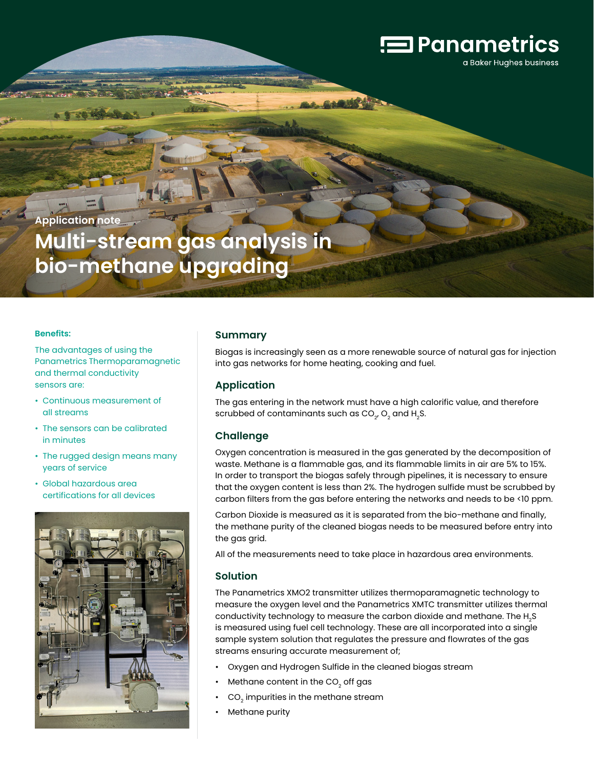# $\equiv$  Panametrics

a Baker Hughes business

**Application note**

**Multi-stream gas analysis in bio-methane upgrading**

#### **Benefits:**

The advantages of using the Panametrics Thermoparamagnetic and thermal conductivity sensors are:

- Continuous measurement of all streams
- The sensors can be calibrated in minutes
- The rugged design means many years of service
- Global hazardous area certifications for all devices



#### **Summary**

Biogas is increasingly seen as a more renewable source of natural gas for injection into gas networks for home heating, cooking and fuel.

#### **Application**

The gas entering in the network must have a high calorific value, and therefore scrubbed of contaminants such as  $CO<sub>2</sub>$ ,  $O<sub>2</sub>$  and H<sub>2</sub>S.

#### **Challenge**

Oxygen concentration is measured in the gas generated by the decomposition of waste. Methane is a flammable gas, and its flammable limits in air are 5% to 15%. In order to transport the biogas safely through pipelines, it is necessary to ensure that the oxygen content is less than 2%. The hydrogen sulfide must be scrubbed by carbon filters from the gas before entering the networks and needs to be <10 ppm.

Carbon Dioxide is measured as it is separated from the bio-methane and finally, the methane purity of the cleaned biogas needs to be measured before entry into the gas grid.

All of the measurements need to take place in hazardous area environments.

#### **Solution**

The Panametrics XMO2 transmitter utilizes thermoparamagnetic technology to measure the oxygen level and the Panametrics XMTC transmitter utilizes thermal conductivity technology to measure the carbon dioxide and methane. The H<sub>2</sub>S is measured using fuel cell technology. These are all incorporated into a single sample system solution that regulates the pressure and flowrates of the gas streams ensuring accurate measurement of;

- Oxygen and Hydrogen Sulfide in the cleaned biogas stream
- Methane content in the  $CO<sub>2</sub>$  off gas
- $CO<sub>2</sub>$  impurities in the methane stream
- Methane purity